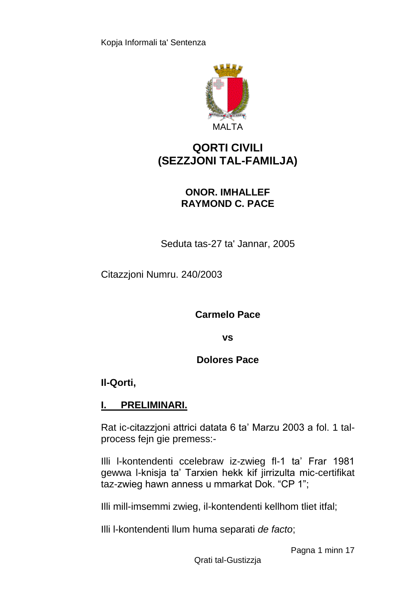

# **QORTI CIVILI (SEZZJONI TAL-FAMILJA)**

# **ONOR. IMHALLEF RAYMOND C. PACE**

Seduta tas-27 ta' Jannar, 2005

Citazzjoni Numru. 240/2003

**Carmelo Pace**

**vs**

**Dolores Pace**

**Il-Qorti,**

# **I. PRELIMINARI.**

Rat ic-citazzjoni attrici datata 6 ta' Marzu 2003 a fol. 1 talprocess fejn gie premess:-

Illi l-kontendenti ccelebraw iz-zwieg fl-1 ta' Frar 1981 gewwa l-knisja ta' Tarxien hekk kif jirrizulta mic-certifikat taz-zwieg hawn anness u mmarkat Dok. "CP 1";

Illi mill-imsemmi zwieg, il-kontendenti kellhom tliet itfal;

Illi l-kontendenti llum huma separati *de facto*;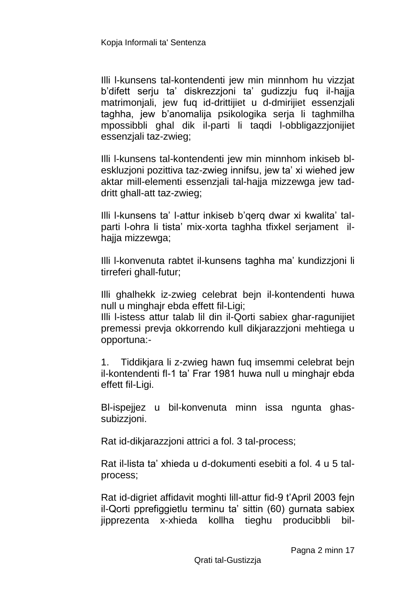Illi l-kunsens tal-kontendenti jew min minnhom hu vizzjat b'difett serju ta' diskrezzjoni ta' gudizzju fuq il-hajja matrimonjali, jew fuq id-drittijiet u d-dmirijiet essenzjali taghha, jew b'anomalija psikologika serja li taghmilha mpossibbli ghal dik il-parti li taqdi l-obbligazzjonijiet essenzjali taz-zwieg;

Illi l-kunsens tal-kontendenti jew min minnhom inkiseb bleskluzjoni pozittiva taz-zwieg innifsu, jew ta' xi wiehed jew aktar mill-elementi essenzjali tal-hajja mizzewga jew taddritt ghall-att taz-zwieg;

Illi l-kunsens ta' l-attur inkiseb b'qerq dwar xi kwalita' talparti l-ohra li tista' mix-xorta taghha tfixkel serjament ilhajja mizzewga;

Illi l-konvenuta rabtet il-kunsens taghha ma' kundizzjoni li tirreferi ghall-futur;

Illi ghalhekk iz-zwieg celebrat bejn il-kontendenti huwa null u minghajr ebda effett fil-Ligi;

Illi l-istess attur talab lil din il-Qorti sabiex ghar-ragunijiet premessi prevja okkorrendo kull dikjarazzjoni mehtiega u opportuna:-

1. Tiddikjara li z-zwieg hawn fuq imsemmi celebrat bejn il-kontendenti fl-1 ta' Frar 1981 huwa null u minghajr ebda effett fil-Ligi.

Bl-ispejjez u bil-konvenuta minn issa ngunta ghassubizzjoni.

Rat id-dikjarazzjoni attrici a fol. 3 tal-process;

Rat il-lista ta' xhieda u d-dokumenti esebiti a fol. 4 u 5 talprocess;

Rat id-digriet affidavit moghti lill-attur fid-9 t'April 2003 fejn il-Qorti pprefiggietlu terminu ta' sittin (60) gurnata sabiex jipprezenta x-xhieda kollha tieghu producibbli bil-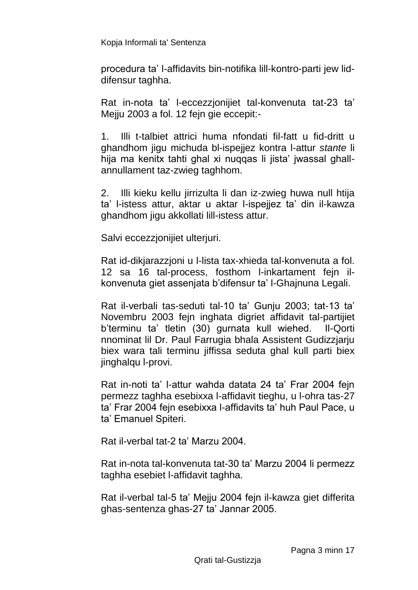procedura ta' l-affidavits bin-notifika lill-kontro-parti jew liddifensur taghha.

Rat in-nota ta' l-eccezzjonijiet tal-konvenuta tat-23 ta' Mejju 2003 a fol. 12 fejn gie eccepit:-

1. Illi t-talbiet attrici huma nfondati fil-fatt u fid-dritt u ghandhom jigu michuda bl-ispejjez kontra l-attur *stante* li hija ma kenitx tahti ghal xi nuqqas li jista' jwassal ghallannullament taz-zwieg taghhom.

2. Illi kieku kellu jirrizulta li dan iz-zwieg huwa null htija ta' l-istess attur, aktar u aktar l-ispejjez ta' din il-kawza ghandhom jigu akkollati lill-istess attur.

Salvi eccezzjonijiet ulterjuri.

Rat id-dikjarazzjoni u l-lista tax-xhieda tal-konvenuta a fol. 12 sa 16 tal-process, fosthom l-inkartament fejn ilkonvenuta giet assenjata b'difensur ta' l-Ghajnuna Legali.

Rat il-verbali tas-seduti tal-10 ta' Gunju 2003; tat-13 ta' Novembru 2003 fejn inghata digriet affidavit tal-partijiet b'terminu ta' tletin (30) gurnata kull wiehed. Il-Qorti nnominat lil Dr. Paul Farrugia bhala Assistent Gudizzjarju biex wara tali terminu jiffissa seduta ghal kull parti biex jinghalqu l-provi.

Rat in-noti ta' l-attur wahda datata 24 ta' Frar 2004 fejn permezz taghha esebixxa l-affidavit tieghu, u l-ohra tas-27 ta' Frar 2004 fejn esebixxa l-affidavits ta' huh Paul Pace, u ta' Emanuel Spiteri.

Rat il-verbal tat-2 ta' Marzu 2004.

Rat in-nota tal-konvenuta tat-30 ta' Marzu 2004 li permezz taghha esebiet l-affidavit taghha.

Rat il-verbal tal-5 ta' Mejju 2004 fejn il-kawza giet differita ghas-sentenza ghas-27 ta' Jannar 2005.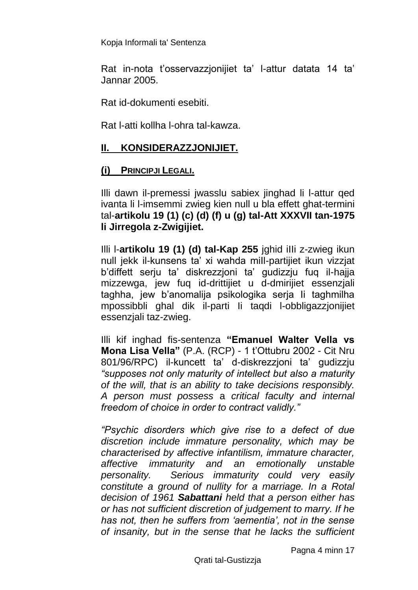Rat in-nota t'osservazzjonijiet ta' l-attur datata 14 ta' Jannar 2005.

Rat id-dokumenti esebiti.

Rat l-atti kollha l-ohra tal-kawza.

# **II. KONSIDERAZZJONIJIET.**

## **(i) PRINCIPJI LEGALI.**

Illi dawn il-premessi jwasslu sabiex jinghad li l-attur qed ivanta li l-imsemmi zwieg kien null u bla effett ghat-termini tal-**artikolu 19 (1) (c) (d) (f) u (g) tal-Att XXXVII tan-1975 li Jirregola z-Zwigijiet.**

Illi l-**artikolu 19 (1) (d) tal-Kap 255** jghid iIIi z-zwieg ikun null jekk il-kunsens ta' xi wahda miIl-partijiet ikun vizzjat b'diffett serju ta' diskrezzjoni ta' gudizzju fuq il-hajja mizzewga, jew fuq id-drittijiet u d-dmirijiet essenzjali taghha, jew b'anomalija psikologika serja Ii taghmilha mpossibbli ghal dik il-parti Ii taqdi l-obbligazzjonijiet essenzjali taz-zwieg.

Illi kif inghad fis-sentenza **"Emanuel Walter Vella vs Mona Lisa Vella"** (P.A. (RCP) - 1 t'Ottubru 2002 - Cit Nru 801/96/RPC) il-kuncett ta' d-diskrezzjoni ta' gudizzju *"supposes not only maturity of intellect but also a maturity of the will, that is an ability to take decisions responsibly. A person must possess* a *critical faculty and internal freedom of choice in order to contract validly."*

*"Psychic disorders which give rise to a defect of due discretion include immature personality, which may be characterised by affective infantilism, immature character, affective immaturity and an emotionally unstable personality. Serious immaturity could very easily constitute a ground of nullity for a marriage. In a Rotal decision of 1961 Sabattani held that a person either has or has not sufficient discretion of judgement to marry. If he has not, then he suffers from 'aementia', not in the sense of insanity, but in the sense that he lacks the sufficient*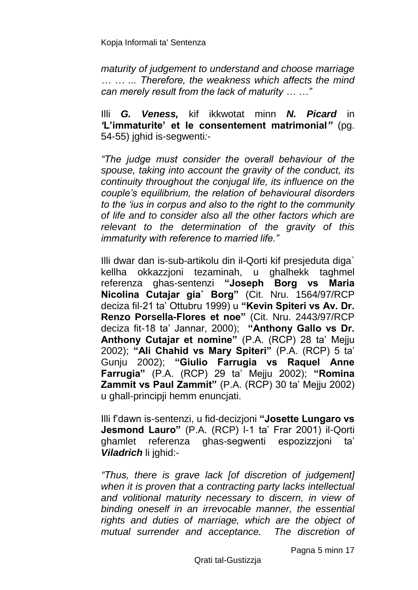*maturity of judgement to understand and choose marriage … … ... Therefore, the weakness which affects the mind can merely result from the lack of maturity … …"*

Illi *G. Veness,* kif ikkwotat minn *N. Picard* in *'***L'immaturite' et le consentement matrimonial***"* (pg. 54-55) jghid is-segwenti*:*-

*"The judge must consider the overall behaviour of the spouse, taking into account the gravity of the conduct, its continuity throughout the conjugal life, its influence on the couple's equilibrium, the relation of behavioural disorders to the 'ius in corpus and also to the right to the community of life and to consider also all the other factors which are relevant to the determination of the gravity of this immaturity with reference to married life."*

Illi dwar dan is-sub-artikolu din il-Qorti kif presjeduta diga` kellha okkazzjoni tezaminah, u ghalhekk taghmel referenza ghas-sentenzi **"Joseph Borg vs Maria Nicolina Cutajar gia` Borg"** (Cit. Nru. 1564/97/RCP deciza fil-21 ta' Ottubru 1999) u **"Kevin Spiteri vs Av. Dr. Renzo Porsella-Flores et noe"** (Cit. Nru. 2443/97/RCP deciza fit-18 ta' Jannar, 2000); **"Anthony Gallo vs Dr. Anthony Cutajar et nomine"** (P.A. (RCP) 28 ta' Mejju 2002); **"Ali Chahid vs Mary Spiteri"** (P.A. (RCP) 5 ta' Gunju 2002); **"Giulio Farrugia vs Raquel Anne Farrugia"** (P.A. (RCP) 29 ta' Mejju 2002); **"Romina Zammit vs Paul Zammit"** (P.A. (RCP) 30 ta' Mejju 2002) u ghall-principji hemm enuncjati.

Illi f'dawn is-sentenzi, u fid-decizjoni **"Josette Lungaro vs Jesmond Lauro"** (P.A. (RCP) l-1 ta' Frar 2001) il-Qorti ghamlet referenza ghas-segwenti espozizzjoni ta' *Viladrich* li jghid:-

*"Thus, there is grave lack [of discretion of judgement] when it is proven that a contracting party lacks intellectual and volitional maturity necessary to discern, in view of binding oneself in an irrevocable manner, the essential rights and duties of marriage, which are the object of mutual surrender and acceptance. The discretion of* 

Pagna 5 minn 17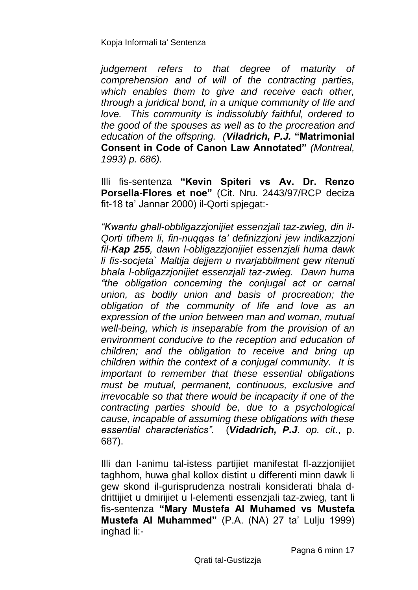*judgement refers to that degree of maturity of comprehension and of will of the contracting parties, which enables them to give and receive each other, through a juridical bond, in a unique community of life and love. This community is indissolubly faithful, ordered to the good of the spouses as well as to the procreation and education of the offspring. (Viladrich, P.J.* **"Matrimonial Consent in Code of Canon Law Annotated"** *(Montreal, 1993) p. 686).*

Illi fis-sentenza **"Kevin Spiteri vs Av. Dr. Renzo Porsella-Flores et noe"** (Cit. Nru. 2443/97/RCP deciza fit-18 ta' Jannar 2000) il-Qorti spjegat:-

*"Kwantu ghall-obbligazzjonijiet essenzjali taz-zwieg, din il-Qorti tifhem li, fin-nuqqas ta' definizzjoni jew indikazzjoni fil-Kap 255, dawn l-obligazzjonijiet essenzjali huma dawk li fis-socjeta` Maltija dejjem u nvarjabbilment gew ritenuti bhala l-obligazzjonijiet essenzjali taz-zwieg. Dawn huma "the obligation concerning the conjugal act or carnal union, as bodily union and basis of procreation; the obligation of the community of life and love as an expression of the union between man and woman, mutual well-being, which is inseparable from the provision of an environment conducive to the reception and education of children; and the obligation to receive and bring up children within the context of a conjugal community. It is important to remember that these essential obligations must be mutual, permanent, continuous, exclusive and irrevocable so that there would be incapacity if one of the contracting parties should be, due to a psychological cause, incapable of assuming these obligations with these essential characteristics".* (*Vidadrich, P.J*. *op. cit*., p. 687).

Illi dan l-animu tal-istess partijiet manifestat fl-azzjonijiet taghhom, huwa ghal kollox distint u differenti minn dawk li gew skond il-gurisprudenza nostrali konsiderati bhala ddrittijiet u dmirijiet u l-elementi essenzjali taz-zwieg, tant li fis-sentenza **"Mary Mustefa Al Muhamed vs Mustefa Mustefa Al Muhammed"** (P.A. (NA) 27 ta' Lulju 1999) inghad li:-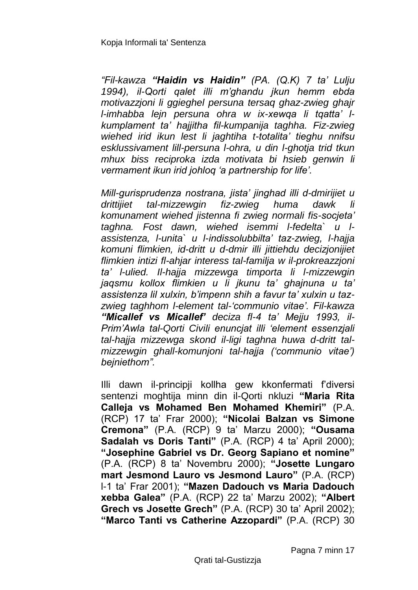*"Fil-kawza "Haidin vs Haidin" (PA. (Q.K) 7 ta' Lulju 1994), il-Qorti qalet illi m'ghandu jkun hemm ebda motivazzjoni li ggieghel persuna tersaq ghaz-zwieg ghajr l-imhabba lejn persuna ohra w ix-xewqa li tqatta' lkumplament ta' hajjitha fil-kumpanija taghha. Fiz-zwieg wiehed irid ikun lest li jaghtiha t-totalita' tieghu nnifsu esklussivament lill-persuna l-ohra, u din l-ghotja trid tkun mhux biss reciproka izda motivata bi hsieb genwin li vermament ikun irid johloq 'a partnership for life'.*

*Mill-gurisprudenza nostrana, jista' jinghad illi d-dmirijiet u drittijiet tal-mizzewgin fiz-zwieg huma dawk li komunament wiehed jistenna fi zwieg normali fis-socjeta' taghna. Fost dawn, wiehed isemmi l-fedelta` u lassistenza, l-unita` u l-indissolubbilta' taz-zwieg, l-hajja komuni flimkien, id-dritt u d-dmir illi jittiehdu decizjonijiet flimkien intizi fl-ahjar interess tal-familja w il-prokreazzjoni ta' l-ulied. Il-hajja mizzewga timporta li l-mizzewgin jaqsmu kollox flimkien u li jkunu ta' ghajnuna u ta' assistenza lil xulxin, b'impenn shih a favur ta' xulxin u tazzwieg taghhom l-element tal-'communio vitae'. Fil-kawza "Micallef vs Micallef' deciza fl-4 ta' Mejju 1993, il-Prim'Awla tal-Qorti Civili enuncjat illi 'element essenzjali tal-hajja mizzewga skond il-ligi taghna huwa d-dritt talmizzewgin ghall-komunjoni tal-hajja ('communio vitae') bejniethom".*

Illi dawn il-principji kollha gew kkonfermati f'diversi sentenzi moghtija minn din il-Qorti nkluzi **"Maria Rita Calleja vs Mohamed Ben Mohamed Khemiri"** (P.A. (RCP) 17 ta' Frar 2000); **"Nicolai Balzan vs Simone Cremona"** (P.A. (RCP) 9 ta' Marzu 2000); **"Ousama Sadalah vs Doris Tanti"** (P.A. (RCP) 4 ta' April 2000); **"Josephine Gabriel vs Dr. Georg Sapiano et nomine"**  (P.A. (RCP) 8 ta' Novembru 2000); **"Josette Lungaro mart Jesmond Lauro vs Jesmond Lauro"** (P.A. (RCP) l-1 ta' Frar 2001); **"Mazen Dadouch vs Maria Dadouch xebba Galea"** (P.A. (RCP) 22 ta' Marzu 2002); **"Albert Grech vs Josette Grech"** (P.A. (RCP) 30 ta' April 2002); **"Marco Tanti vs Catherine Azzopardi"** (P.A. (RCP) 30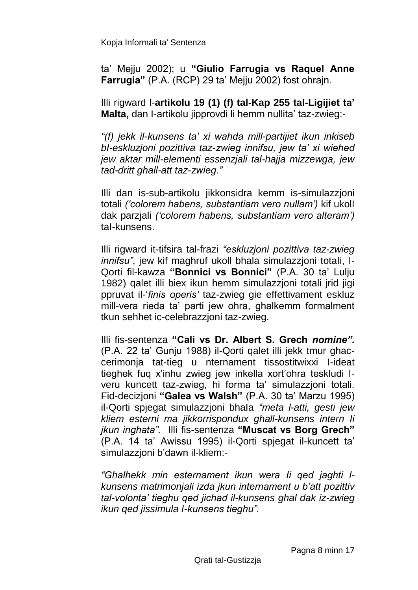ta' Mejju 2002); u **"Giulio Farrugia vs Raquel Anne Farrugia"** (P.A. (RCP) 29 ta' Mejju 2002) fost ohrajn.

Illi rigward l-**artikolu 19 (1) (f) tal-Kap 255 tal-Ligijiet ta' Malta,** dan I-artikolu jipprovdi li hemm nullita' taz-zwieg:-

*"(f) jekk il-kunsens ta' xi wahda mill-partijiet ikun inkiseb bI-eskluzjoni pozittiva taz-zwieg innifsu, jew ta' xi wiehed jew aktar mill-elementi essenzjali tal-hajja mizzewga, jew tad-dritt ghall-att taz-zwieg."*

Illi dan is-sub-artikolu jikkonsidra kemm is-simulazzjoni totali *('colorem habens, substantiam vero nullam')* kif ukolI dak parzjali *('colorem habens, substantiam vero alteram')*  taI-kunsens.

Illi rigward it-tifsira tal-frazi *"eskluzjoni pozittiva taz-zwieg innifsu*", jew kif maghruf ukoll bhala simulazzjoni totali, I-Qorti fil-kawza **"Bonnici vs Bonnici"** (P.A. 30 ta' Lulju 1982) qalet illi biex ikun hemm simulazzjoni totali jrid jigi ppruvat il-'*finis operis'* taz-zwieg gie effettivament eskluz mill-vera rieda ta' parti jew ohra, ghalkemm formalment tkun sehhet ic-celebrazzjoni taz-zwieg.

Illi fis-sentenza **"Cali vs Dr. Albert S. Grech** *nomine".* (P.A. 22 ta' Gunju 1988) il-Qorti qalet illi jekk tmur ghaccerimonja tat-tieg u nternament tissostitwixxi I-ideat tieghek fuq x'inhu zwieg jew inkella xort'ohra teskludi Iveru kuncett taz-zwieg, hi forma ta' simulazzjoni totali. Fid-decizjoni **"Galea vs Walsh"** (P.A. 30 ta' Marzu 1995) il-Qorti spjegat simulazzjoni bhaIa *"meta l-atti, gesti jew kliem esterni ma jikkorrispondux ghall-kunsens intern Ii jkun inghata".* Illi fis-sentenza **"Muscat vs Borg Grech"**  (P.A. 14 ta' Awissu 1995) il-Qorti spjegat il-kuncett ta' simulazzjoni b'dawn il-kliem:-

*"Ghalhekk min esternament ikun wera Ii qed jaghti lkunsens matrimonjali izda jkun internament u b'att pozittiv tal-volonta' tieghu qed jichad il-kunsens ghal dak iz-zwieg ikun qed jissimula I-kunsens tieghu".*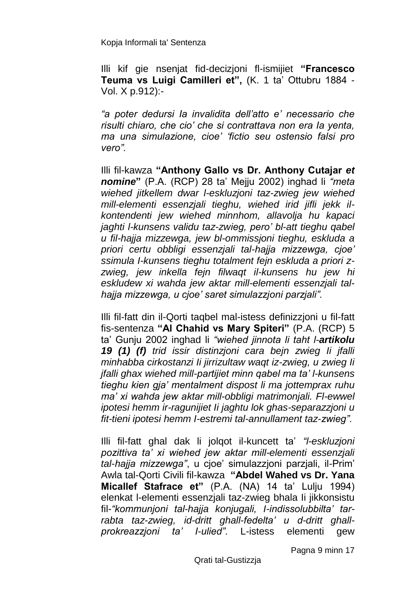Illi kif gie nsenjat fid-decizjoni fl-ismijiet **"Francesco Teuma vs Luigi Camilleri et",** (K. 1 ta' Ottubru 1884 - Vol. X p.912):-

*"a poter dedursi Ia invalidita dell'atto e' necessario che risulti chiaro, che cio' che si contrattava non era Ia yenta, ma una simulazione, cioe' 'fictio seu ostensio falsi pro vero".*

Illi fil-kawza **"Anthony Gallo vs Dr. Anthony Cutajar** *et nomine***"** (P.A. (RCP) 28 ta' Mejju 2002) inghad li *"meta wiehed jitkellem dwar l-eskluzjoni taz-zwieg jew wiehed mill-elementi essenzjali tieghu, wiehed irid jifli jekk ilkontendenti jew wiehed minnhom, allavolja hu kapaci jaghti l-kunsens validu taz-zwieg, pero' bl-att tieghu qabel u fil-hajja mizzewga, jew bl-ommissjoni tieghu, eskluda a priori certu obbligi essenzjali tal-hajja mizzewga, cjoe' ssimula I-kunsens tieghu totalment fejn eskluda a priori zzwieg, jew inkella fejn filwaqt il-kunsens hu jew hi eskludew xi wahda jew aktar mill-elementi essenzjali talhajja mizzewga, u cjoe' saret simulazzjoni parzjali".*

Illi fil-fatt din il-Qorti taqbel mal-istess definizzjoni u fil-fatt fis-sentenza **"Al Chahid vs Mary Spiteri"** (P.A. (RCP) 5 ta' Gunju 2002 inghad li *"wiehed jinnota li taht l-artikolu 19 (1) (f) trid issir distinzjoni cara bejn zwieg Ii jfalli minhabba cirkostanzi Ii jirrizultaw waqt iz-zwieg, u zwieg Ii jfalli ghax wiehed mill-partijiet minn qabel ma ta' l-kunsens tieghu kien gja' mentalment dispost li ma jottemprax ruhu ma' xi wahda jew aktar mill-obbligi matrimonjali. Fl-ewwel ipotesi hemm ir-ragunijiet Ii jaghtu lok ghas-separazzjoni u fit-tieni ipotesi hemm I-estremi tal-annullament taz-zwieg".*

Illi fil-fatt ghal dak li jolqot il-kuncett ta' *"l-eskluzjoni pozittiva ta' xi wiehed jew aktar mill-elementi essenzjali tal-hajja mizzewga"*, u cjoe' simulazzjoni parzjali, il-Prim' Awla tal-Qorti Civili fil-kawza **"Abdel Wahed vs Dr. Yana Micallef Stafrace et"** (P.A. (NA) 14 ta' Lulju 1994) elenkat l-elementi essenzjali taz-zwieg bhala Ii jikkonsistu fil-*"kommunjoni tal-hajja konjugali, I-indissolubbilta' tarrabta taz-zwieg, id-dritt ghall-fedelta' u d-dritt ghallprokreazzjoni ta' I-ulied"*. L-istess elementi gew

Pagna 9 minn 17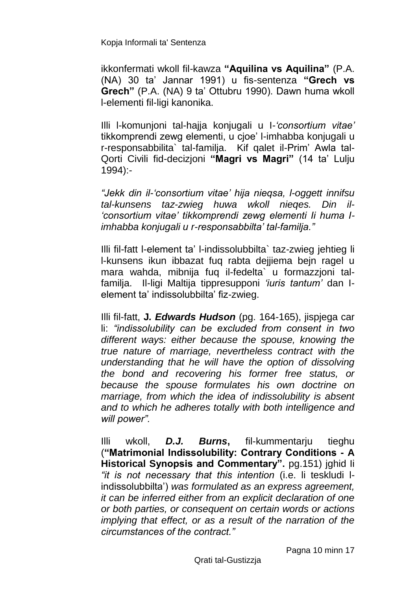ikkonfermati wkoll fil*-*kawza **"Aquilina vs Aquilina"** (P.A. (NA) 30 ta' Jannar 1991) u fis-sentenza **"Grech vs Grech"** (P.A. (NA) 9 ta' Ottubru 1990). Dawn huma wkoll l-elementi fil-ligi kanonika.

Illi l-komunjoni tal-hajja konjugali u I*-'consortium vitae'* tikkomprendi zewg elementi, u cjoe' l-imhabba konjugali u r-responsabbilita` tal-familja. Kif qalet il-Prim' Awla tal-Qorti Civili fid-decizjoni **"Magri vs Magri"** (14 ta' Lulju 1994):-

*"Jekk din il-'consortium vitae' hija nieqsa, l-oggett innifsu tal-kunsens taz-zwieg huwa wkoll nieqes. Din il- 'consortium vitae' tikkomprendi zewg elementi Ii huma Iimhabba konjugali u r-responsabbilta' tal-familja."*

Illi fil-fatt l-element ta' l-indissolubbilta` taz-zwieg jehtieg li l-kunsens ikun ibbazat fuq rabta dejjiema bejn ragel u mara wahda, mibnija fuq il-fedelta` u formazzjoni talfamilja. Il-ligi Maltija tippresupponi *'iuris tantum'* dan Ielement ta' indissolubbilta' fiz-zwieg.

Illi fil-fatt, **J***. Edwards Hudson* (pg. 164-165), jispjega car li: *"indissolubility can be excluded from consent in two different ways: either because the spouse, knowing the true nature of marriage, nevertheless contract with the understanding that he will have the option of dissolving the bond and recovering his former free status, or because the spouse formulates his own doctrine on marriage, from which the idea of indissolubility is absent and to which he adheres totally with both intelligence and will power".*

Illi wkoll, *D.J. Burns***,** fil-kummentarju tieghu (**"Matrimonial Indissolubility: Contrary Conditions - A Historical Synopsis and Commentary".** pg.151) jghid Ii *"it is not necessary that this intention* (i.e. li teskludi lindissolubbilta') *was formulated as an express agreement, it can be inferred either from an explicit declaration of one or both parties, or consequent on certain words or actions implying that effect, or as a result of the narration of the circumstances of the contract."*

Pagna 10 minn 17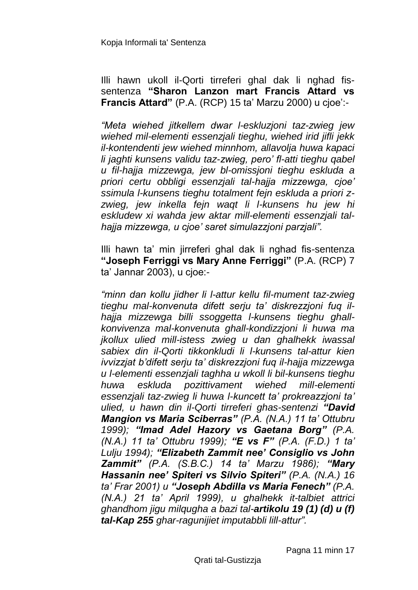Illi hawn ukoll il-Qorti tirreferi ghal dak li nghad fissentenza **"Sharon Lanzon mart Francis Attard vs Francis Attard"** (P.A. (RCP) 15 ta' Marzu 2000) u cjoe':-

*"Meta wiehed jitkellem dwar l-eskluzjoni taz-zwieg jew wiehed mil-elementi essenzjali tieghu, wiehed irid jifli jekk il-kontendenti jew wiehed minnhom, allavolja huwa kapaci li jaghti kunsens validu taz-zwieg, pero' fl-atti tieghu qabel u fil-hajja mizzewga, jew bl-omissjoni tieghu eskluda a priori certu obbligi essenzjali tal-hajja mizzewga, cjoe' ssimula l-kunsens tieghu totalment fejn eskluda a priori zzwieg, jew inkella fejn waqt li l-kunsens hu jew hi eskludew xi wahda jew aktar mill-elementi essenzjali talhajja mizzewga, u cjoe' saret simulazzjoni parzjali".*

Illi hawn ta' min jirreferi ghal dak li nghad fis-sentenza **"Joseph Ferriggi vs Mary Anne Ferriggi"** (P.A. (RCP) 7 ta' Jannar 2003), u cjoe:-

*"minn dan kollu jidher li l-attur kellu fil-mument taz-zwieg tieghu mal-konvenuta difett serju ta' diskrezzjoni fuq ilhajja mizzewga billi ssoggetta l-kunsens tieghu ghallkonvivenza mal-konvenuta ghall-kondizzjoni li huwa ma jkollux ulied mill-istess zwieg u dan ghalhekk iwassal sabiex din il-Qorti tikkonkludi li l-kunsens tal-attur kien ivvizzjat b'difett serju ta' diskrezzjoni fuq il-hajja mizzewga u l-elementi essenzjali taghha u wkoll li bil-kunsens tieghu huwa eskluda pozittivament wiehed mill-elementi essenzjali taz-zwieg li huwa l-kuncett ta' prokreazzjoni ta' ulied, u hawn din il-Qorti tirreferi ghas-sentenzi "David Mangion vs Maria Sciberras" (P.A. (N.A.) 11 ta' Ottubru 1999); "Imad Adel Hazory vs Gaetana Borg" (P.A. (N.A.) 11 ta' Ottubru 1999); "E vs F" (P.A. (F.D.) 1 ta' Lulju 1994); "Elizabeth Zammit nee' Consiglio vs John Zammit" (P.A. (S.B.C.) 14 ta' Marzu 1986); "Mary Hassanin nee' Spiteri vs Silvio Spiteri" (P.A. (N.A.) 16 ta' Frar 2001) u "Joseph Abdilla vs Maria Fenech" (P.A. (N.A.) 21 ta' April 1999), u ghalhekk it-talbiet attrici ghandhom jigu milqugha a bazi tal-artikolu 19 (1) (d) u (f) tal-Kap 255 ghar-ragunijiet imputabbli lill-attur".*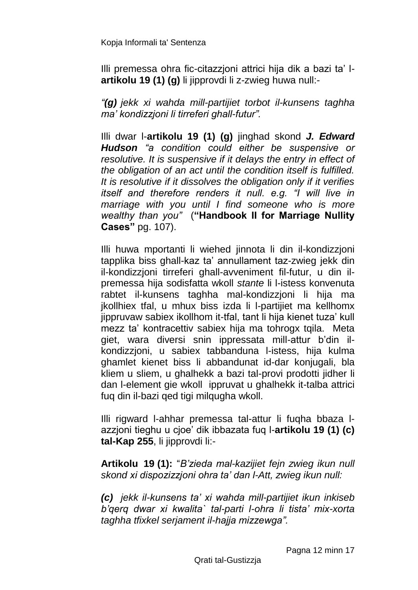Illi premessa ohra fic-citazzjoni attrici hija dik a bazi ta' l**artikolu 19 (1) (g)** li jipprovdi li z-zwieg huwa null:-

*"(g) jekk xi wahda mill-partijiet torbot il-kunsens taghha ma' kondizzjoni li tirreferi ghall-futur".*

Illi dwar l-**artikolu 19 (1) (g)** jinghad skond *J. Edward Hudson "a condition could either be suspensive or resolutive. It is suspensive if it delays the entry in effect of the obligation of an act until the condition itself is fulfilled. It is resolutive if it dissolves the obligation only if it verifies itself and therefore renders it null. e.g. "I will live in marriage with you until I find someone who is more wealthy than you"* (**"Handbook II for Marriage Nullity Cases"** pg. 107).

Illi huwa mportanti li wiehed jinnota li din il-kondizzjoni tapplika biss ghall-kaz ta' annullament taz-zwieg jekk din il-kondizzjoni tirreferi ghall-avveniment fil-futur, u din ilpremessa hija sodisfatta wkoll *stante* li l-istess konvenuta rabtet il-kunsens taghha mal-kondizzjoni li hija ma jkollhiex tfal, u mhux biss izda li l-partijiet ma kellhomx jippruvaw sabiex ikollhom it-tfal, tant li hija kienet tuza' kull mezz ta' kontracettiv sabiex hija ma tohrogx tqila. Meta giet, wara diversi snin ippressata mill-attur b'din ilkondizzjoni, u sabiex tabbanduna l-istess, hija kulma ghamlet kienet biss li abbandunat id-dar konjugali, bla kliem u sliem, u ghalhekk a bazi tal-provi prodotti jidher li dan l-element gie wkoll ippruvat u ghalhekk it-talba attrici fuq din il-bazi qed tigi milqugha wkoll.

Illi rigward l-ahhar premessa tal-attur li fuqha bbaza lazzjoni tieghu u cjoe' dik ibbazata fuq l-**artikolu 19 (1) (c) tal-Kap 255**, li jipprovdi li:-

**Artikolu 19 (1):** "*B'zieda mal-kazijiet fejn zwieg ikun null skond xi dispozizzjoni ohra ta' dan l-Att, zwieg ikun null:*

*(c) jekk il-kunsens ta' xi wahda mill-partijiet ikun inkiseb b'qerq dwar xi kwalita` tal-parti l-ohra li tista' mix-xorta taghha tfixkel serjament il-hajja mizzewga".*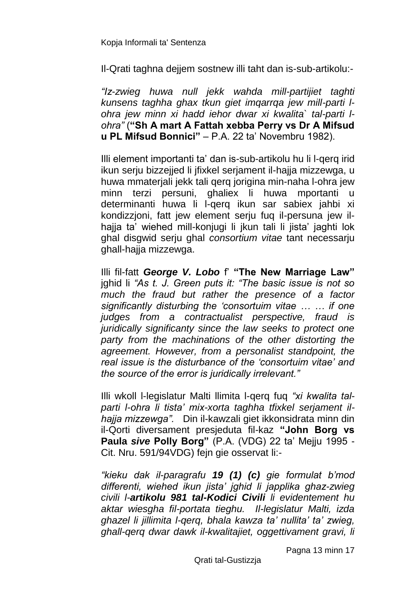Il-Qrati taghna dejjem sostnew illi taht dan is-sub-artikolu:-

*"Iz-zwieg huwa null jekk wahda mill-partijiet taghti kunsens taghha ghax tkun giet imqarrqa jew mill-parti lohra jew minn xi hadd iehor dwar xi kwalita` tal-parti lohra"* (**"Sh A mart A Fattah xebba Perry vs Dr A Mifsud u PL Mifsud Bonnici"** – P.A. 22 ta' Novembru 1982).

Illi element importanti ta' dan is-sub-artikolu hu li l-qerq irid ikun serju bizzejjed li jfixkel serjament il-hajja mizzewga, u huwa mmaterjali jekk tali qerq jorigina min-naha l-ohra jew minn terzi persuni, ghaliex li huwa mportanti u determinanti huwa li l-qerq ikun sar sabiex jahbi xi kondizzjoni, fatt jew element serju fuq il-persuna jew ilhajja ta' wiehed mill-konjugi li jkun tali li jista' jaghti lok ghal disgwid serju ghal *consortium vitae* tant necessarju ghall-hajja mizzewga.

Illi fil-fatt *George V. Lobo* f' **"The New Marriage Law"**  jghid li *"As t. J. Green puts it: "The basic issue is not so much the fraud but rather the presence of a factor significantly disturbing the 'consortuim vitae … … if one judges from a contractualist perspective, fraud is juridically significanty since the law seeks to protect one party from the machinations of the other distorting the agreement. However, from a personalist standpoint, the real issue is the disturbance of the 'consortuim vitae' and the source of the error is juridically irrelevant."* 

Illi wkoll l-legislatur Malti llimita l-qerq fuq *"xi kwalita talparti l-ohra li tista' mix-xorta taghha tfixkel serjament ilhajja mizzewga".* Din il-kawzali giet ikkonsidrata minn din il-Qorti diversament presjeduta fil-kaz **"John Borg vs Paula** *sive* **Polly Borg"** (P.A. (VDG) 22 ta' Mejju 1995 - Cit. Nru. 591/94VDG) fejn gie osservat li:-

*"kieku dak il-paragrafu 19 (1) (c) gie formulat b'mod differenti, wiehed ikun jista' jghid li japplika ghaz-zwieg civili l-artikolu 981 tal-Kodici Civili li evidentement hu aktar wiesgha fil-portata tieghu. Il-legislatur Malti, izda ghazel li jillimita l-qerq, bhala kawza ta' nullita' ta' zwieg, ghall-qerq dwar dawk il-kwalitajiet, oggettivament gravi, li* 

Pagna 13 minn 17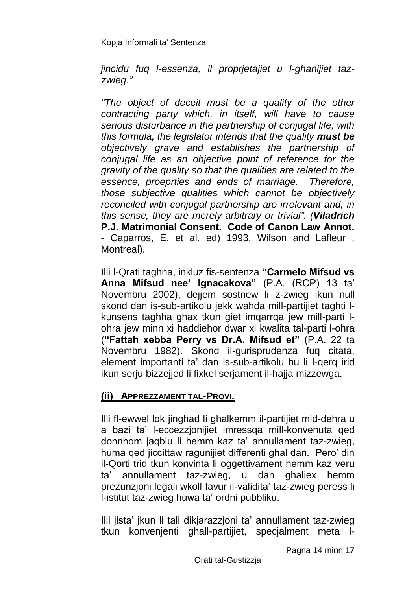*jincidu fuq l-essenza, il proprjetajiet u l-ghanijiet tazzwieg."*

*"The object of deceit must be a quality of the other contracting party which, in itself, will have to cause serious disturbance in the partnership of conjugal life; with this formula, the legislator intends that the quality must be objectively grave and establishes the partnership of conjugal life as an objective point of reference for the gravity of the quality so that the qualities are related to the essence, proeprties and ends of marriage. Therefore, those subjective qualities which cannot be objectively reconciled with conjugal partnership are irrelevant and, in this sense, they are merely arbitrary or trivial". (Viladrich*  **P.J. Matrimonial Consent. Code of Canon Law Annot. -** Caparros, E. et al. ed) 1993, Wilson and Lafleur , Montreal).

Illi l-Qrati taghna, inkluz fis-sentenza **"Carmelo Mifsud vs Anna Mifsud nee' Ignacakova"** (P.A. (RCP) 13 ta' Novembru 2002), dejjem sostnew li z-zwieg ikun null skond dan is-sub-artikolu jekk wahda mill-partijiet taghti lkunsens taghha ghax tkun giet imqarrqa jew mill-parti lohra jew minn xi haddiehor dwar xi kwalita tal-parti l-ohra (**"Fattah xebba Perry vs Dr.A. Mifsud et"** (P.A. 22 ta Novembru 1982). Skond il-gurisprudenza fuq citata, element importanti ta' dan is-sub-artikolu hu li l-qerq irid ikun serju bizzejjed li fixkel serjament il-hajja mizzewga.

## **(ii) APPREZZAMENT TAL-PROVI.**

Illi fl-ewwel lok jinghad li ghalkemm il-partijiet mid-dehra u a bazi ta' l-eccezzjonijiet imressqa mill-konvenuta qed donnhom jaqblu li hemm kaz ta' annullament taz-zwieg, huma qed jiccittaw ragunijiet differenti ghal dan. Pero' din il-Qorti trid tkun konvinta li oggettivament hemm kaz veru ta' annullament taz-zwieg, u dan ghaliex hemm prezunzjoni legali wkoll favur il-validita' taz-zwieg peress li l-istitut taz-zwieg huwa ta' ordni pubbliku.

Illi jista' jkun li tali dikjarazzjoni ta' annullament taz-zwieg tkun konvenjenti ghall-partijiet, specjalment meta l-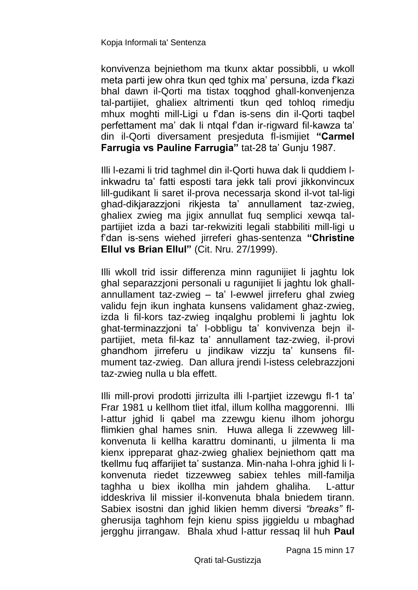konvivenza bejniethom ma tkunx aktar possibbli, u wkoll meta parti jew ohra tkun qed tghix ma' persuna, izda f'kazi bhal dawn il-Qorti ma tistax toqghod ghall-konvenjenza tal-partijiet, ghaliex altrimenti tkun qed tohloq rimedju mhux moghti mill-Ligi u f'dan is-sens din il-Qorti taqbel perfettament ma' dak li ntqal f'dan ir-rigward fil-kawza ta' din il-Qorti diversament presjeduta fl-ismijiet **"Carmel Farrugia vs Pauline Farrugia"** tat-28 ta' Gunju 1987.

Illi l-ezami li trid taghmel din il-Qorti huwa dak li quddiem linkwadru ta' fatti esposti tara jekk tali provi jikkonvincux lill-gudikant li saret il-prova necessarja skond il-vot tal-ligi ghad-dikjarazzjoni rikjesta ta' annullament taz-zwieg, ghaliex zwieg ma jigix annullat fuq semplici xewqa talpartijiet izda a bazi tar-rekwiziti legali stabbiliti mill-ligi u f'dan is-sens wiehed jirreferi ghas-sentenza **"Christine Ellul vs Brian Ellul"** (Cit. Nru. 27/1999).

Illi wkoll trid issir differenza minn ragunijiet li jaghtu lok ghal separazzjoni personali u ragunijiet li jaghtu lok ghallannullament taz-zwieg – ta' l-ewwel jirreferu ghal zwieg validu fejn ikun inghata kunsens validament ghaz-zwieg, izda li fil-kors taz-zwieg inqalghu problemi li jaghtu lok ghat-terminazzjoni ta' l-obbligu ta' konvivenza bejn ilpartijiet, meta fil-kaz ta' annullament taz-zwieg, il-provi ghandhom jirreferu u jindikaw vizzju ta' kunsens filmument taz-zwieg. Dan allura jrendi l-istess celebrazzjoni taz-zwieg nulla u bla effett.

Illi mill-provi prodotti jirrizulta illi l-partjiet izzewgu fl-1 ta' Frar 1981 u kellhom tliet itfal, illum kollha maggorenni. Illi l-attur jghid li qabel ma zzewgu kienu ilhom johorgu flimkien ghal hames snin. Huwa allega li zzewweg lillkonvenuta li kellha karattru dominanti, u jilmenta li ma kienx ippreparat ghaz-zwieg ghaliex bejniethom qatt ma tkellmu fuq affarijiet ta' sustanza. Min-naha l-ohra jghid li lkonvenuta riedet tizzewweg sabiex tehles mill-familja taghha u biex ikollha min jahdem ghaliha. L-attur iddeskriva lil missier il-konvenuta bhala bniedem tirann. Sabiex isostni dan jghid likien hemm diversi *"breaks"* flgherusija taghhom fejn kienu spiss jiggieldu u mbaghad jergghu jirrangaw. Bhala xhud l-attur ressaq lil huh **Paul** 

Pagna 15 minn 17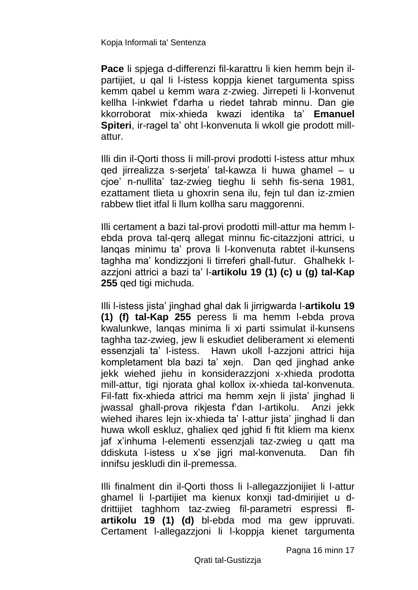**Pace** li spjega d-differenzi fil-karattru li kien hemm bejn ilpartijiet, u qal Ii l-istess koppja kienet targumenta spiss kemm qabel u kemm wara z-zwieg. Jirrepeti li l-konvenut kellha l-inkwiet f'darha u riedet tahrab minnu. Dan gie kkorroborat mix-xhieda kwazi identika ta' **Emanuel Spiteri**, ir-ragel ta' oht l-konvenuta li wkoll gie prodott millattur.

Illi din il-Qorti thoss Ii mill-provi prodotti l-istess attur mhux qed jirrealizza s-serjeta' tal-kawza Ii huwa ghamel – u cjoe' n-nullita' taz-zwieg tieghu li sehh fis-sena 1981, ezattament tlieta u ghoxrin sena ilu, fejn tul dan iz-zmien rabbew tliet itfal li llum kollha saru maggorenni.

Illi certament a bazi tal-provi prodotti mill-attur ma hemm lebda prova tal-qerq allegat minnu fic-citazzjoni attrici, u lanqas minimu ta' prova li l-konvenuta rabtet il-kunsens taghha ma' kondizzjoni li tirreferi ghall-futur. Ghalhekk lazzjoni attrici a bazi ta' l-**artikolu 19 (1) (c) u (g) tal-Kap 255** qed tigi michuda.

Illi l-istess jista' jinghad ghal dak li jirrigwarda l-**artikolu 19 (1) (f) tal-Kap 255** peress li ma hemm l-ebda prova kwalunkwe, lanqas minima li xi parti ssimulat il-kunsens taghha taz-zwieg, jew li eskudiet deliberament xi elementi essenzjali ta' l-istess. Hawn ukoll l-azzjoni attrici hija kompletament bla bazi ta' xejn. Dan qed jinghad anke jekk wiehed jiehu in konsiderazzjoni x-xhieda prodotta mill-attur, tigi njorata ghal kollox ix-xhieda tal-konvenuta. Fil-fatt fix-xhieda attrici ma hemm xejn li jista' jinghad li jwassal ghall-prova rikjesta f'dan l-artikolu. Anzi jekk wiehed ihares lein ix-xhieda ta' l-attur jista' jinghad li dan huwa wkoll eskluz, ghaliex qed jghid fi ftit kliem ma kienx jaf x'inhuma l-elementi essenzjali taz-zwieg u qatt ma ddiskuta l-istess u x'se jigri mal-konvenuta. Dan fih innifsu jeskludi din il-premessa.

Illi finalment din il-Qorti thoss li l-allegazzjonijiet li l-attur ghamel li l-partijiet ma kienux konxji tad-dmirijiet u ddrittijiet taghhom taz-zwieg fil-parametri espressi fl**artikolu 19 (1) (d)** bl-ebda mod ma gew ippruvati. Certament l-allegazzjoni li l-koppja kienet targumenta

Pagna 16 minn 17